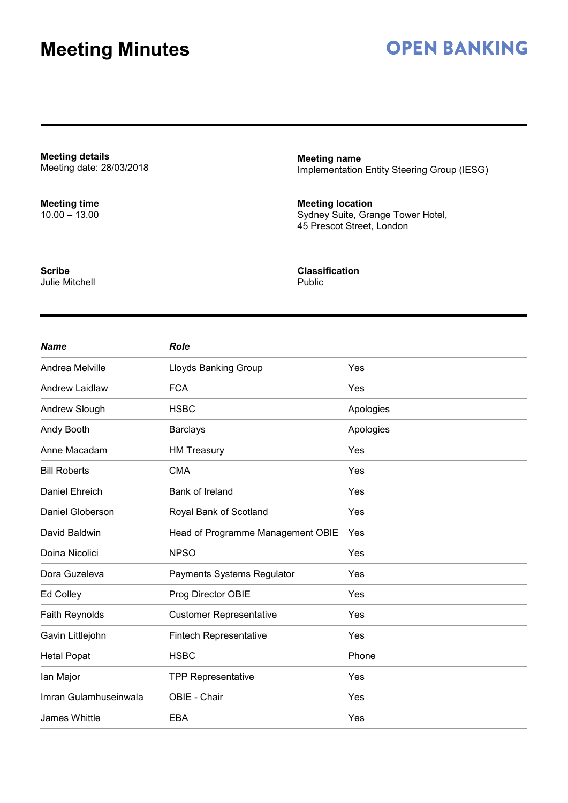### **OPEN BANKING**

**Meeting details** Meeting date: 28/03/2018

**Meeting time** 10.00 – 13.00 **Meeting name** Implementation Entity Steering Group (IESG)

**Meeting location** Sydney Suite, Grange Tower Hotel, 45 Prescot Street, London

**Scribe** Julie Mitchell **Classification** Public

| <b>Name</b>           | <b>Role</b>                       |           |
|-----------------------|-----------------------------------|-----------|
| Andrea Melville       | <b>Lloyds Banking Group</b>       | Yes       |
| <b>Andrew Laidlaw</b> | <b>FCA</b>                        | Yes       |
| Andrew Slough         | <b>HSBC</b>                       | Apologies |
| Andy Booth            | <b>Barclays</b>                   | Apologies |
| Anne Macadam          | <b>HM Treasury</b>                | Yes       |
| <b>Bill Roberts</b>   | <b>CMA</b>                        | Yes       |
| Daniel Ehreich        | Bank of Ireland                   | Yes       |
| Daniel Globerson      | Royal Bank of Scotland            | Yes       |
| David Baldwin         | Head of Programme Management OBIE | Yes       |
| Doina Nicolici        | <b>NPSO</b>                       | Yes       |
| Dora Guzeleva         | Payments Systems Regulator        | Yes       |
| Ed Colley             | Prog Director OBIE                | Yes       |
| Faith Reynolds        | <b>Customer Representative</b>    | Yes       |
| Gavin Littlejohn      | <b>Fintech Representative</b>     | Yes       |
| <b>Hetal Popat</b>    | <b>HSBC</b>                       | Phone     |
| lan Major             | <b>TPP Representative</b>         | Yes       |
| Imran Gulamhuseinwala | OBIE - Chair                      | Yes       |
| James Whittle         | EBA                               | Yes       |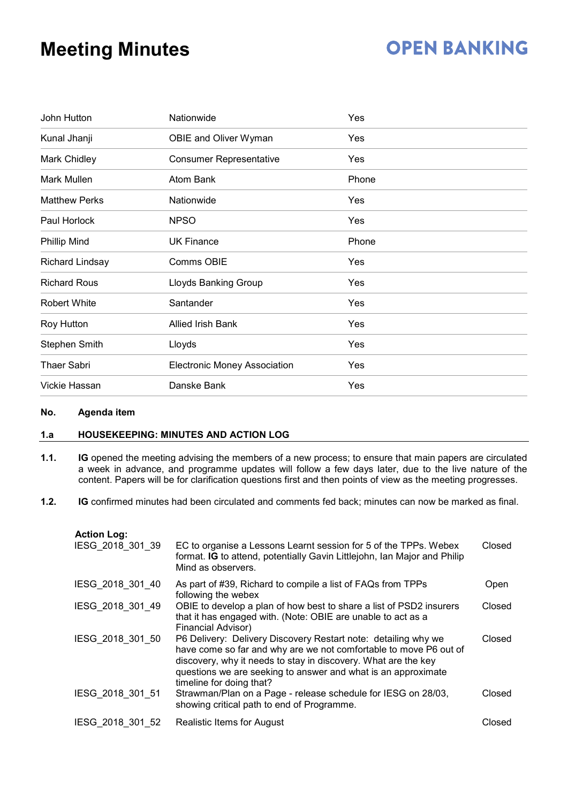## **OPEN BANKING**

| John Hutton            | Nationwide                          | Yes   |
|------------------------|-------------------------------------|-------|
| Kunal Jhanji           | OBIE and Oliver Wyman               | Yes   |
| Mark Chidley           | <b>Consumer Representative</b>      | Yes   |
| Mark Mullen            | <b>Atom Bank</b>                    | Phone |
| <b>Matthew Perks</b>   | Nationwide                          | Yes   |
| Paul Horlock           | <b>NPSO</b>                         | Yes   |
| <b>Phillip Mind</b>    | <b>UK Finance</b>                   | Phone |
| <b>Richard Lindsay</b> | Comms OBIE                          | Yes   |
| <b>Richard Rous</b>    | Lloyds Banking Group                | Yes   |
| <b>Robert White</b>    | Santander                           | Yes   |
| Roy Hutton             | <b>Allied Irish Bank</b>            | Yes   |
| Stephen Smith          | Lloyds                              | Yes   |
| <b>Thaer Sabri</b>     | <b>Electronic Money Association</b> | Yes   |
| Vickie Hassan          | Danske Bank                         | Yes   |

#### **No. Agenda item**

### **1.a HOUSEKEEPING: MINUTES AND ACTION LOG**

- **1.1. IG** opened the meeting advising the members of a new process; to ensure that main papers are circulated a week in advance, and programme updates will follow a few days later, due to the live nature of the content. Papers will be for clarification questions first and then points of view as the meeting progresses.
- **1.2. IG** confirmed minutes had been circulated and comments fed back; minutes can now be marked as final.

| <b>Action Log:</b> |                                                                                                                                                                                                                                                                                                    |               |
|--------------------|----------------------------------------------------------------------------------------------------------------------------------------------------------------------------------------------------------------------------------------------------------------------------------------------------|---------------|
| IESG 2018 301 39   | EC to organise a Lessons Learnt session for 5 of the TPPs. Webex<br>format. IG to attend, potentially Gavin Littlejohn, Ian Major and Philip<br>Mind as observers.                                                                                                                                 | Closed        |
| IESG 2018 301 40   | As part of #39, Richard to compile a list of FAQs from TPPs<br>following the webex                                                                                                                                                                                                                 | Open          |
| IESG 2018 301 49   | OBIE to develop a plan of how best to share a list of PSD2 insurers<br>that it has engaged with. (Note: OBIE are unable to act as a<br>Financial Advisor)                                                                                                                                          | Closed        |
| IESG 2018 301 50   | P6 Delivery: Delivery Discovery Restart note: detailing why we<br>have come so far and why are we not comfortable to move P6 out of<br>discovery, why it needs to stay in discovery. What are the key<br>questions we are seeking to answer and what is an approximate<br>timeline for doing that? | <b>Closed</b> |
| IESG 2018 301 51   | Strawman/Plan on a Page - release schedule for IESG on 28/03,<br>showing critical path to end of Programme.                                                                                                                                                                                        | Closed        |
| IESG 2018 301 52   | Realistic Items for August                                                                                                                                                                                                                                                                         | Closed        |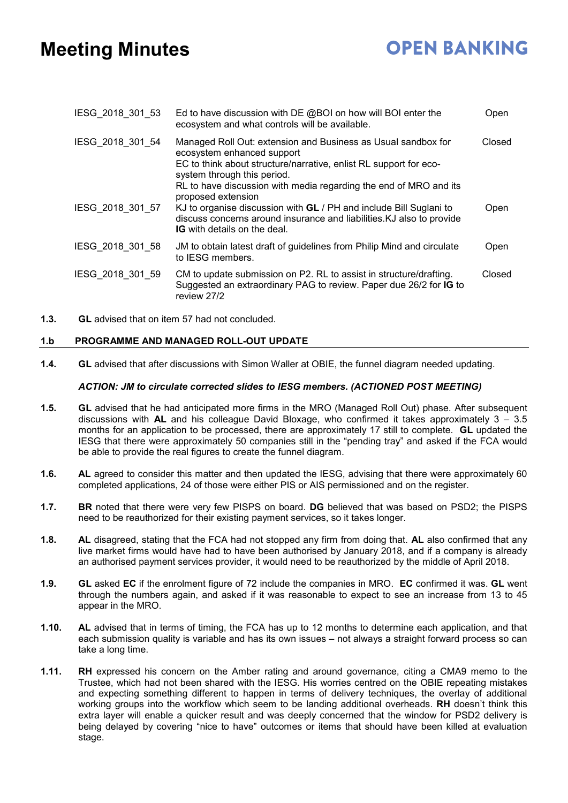# **OPEN BANKING**

| IESG 2018 301 53 | Ed to have discussion with DE @BOI on how will BOI enter the<br>ecosystem and what controls will be available.                                                                                                                                                                             | Open   |
|------------------|--------------------------------------------------------------------------------------------------------------------------------------------------------------------------------------------------------------------------------------------------------------------------------------------|--------|
| IESG 2018 301 54 | Managed Roll Out: extension and Business as Usual sandbox for<br>ecosystem enhanced support<br>EC to think about structure/narrative, enlist RL support for eco-<br>system through this period.<br>RL to have discussion with media regarding the end of MRO and its<br>proposed extension | Closed |
| IESG 2018 301 57 | KJ to organise discussion with GL / PH and include Bill Suglani to<br>discuss concerns around insurance and liabilities. KJ also to provide<br><b>IG</b> with details on the deal.                                                                                                         | Open   |
| IESG 2018 301 58 | JM to obtain latest draft of guidelines from Philip Mind and circulate<br>to IESG members.                                                                                                                                                                                                 | Open   |
| IESG 2018 301 59 | CM to update submission on P2. RL to assist in structure/drafting.<br>Suggested an extraordinary PAG to review. Paper due 26/2 for IG to<br>review 27/2                                                                                                                                    | Closed |

**1.3. GL** advised that on item 57 had not concluded.

### **1.b PROGRAMME AND MANAGED ROLL-OUT UPDATE**

**1.4. GL** advised that after discussions with Simon Waller at OBIE, the funnel diagram needed updating.

#### *ACTION: JM to circulate corrected slides to IESG members. (ACTIONED POST MEETING)*

- **1.5. GL** advised that he had anticipated more firms in the MRO (Managed Roll Out) phase. After subsequent discussions with **AL** and his colleague David Bloxage, who confirmed it takes approximately 3 – 3.5 months for an application to be processed, there are approximately 17 still to complete. **GL** updated the IESG that there were approximately 50 companies still in the "pending tray" and asked if the FCA would be able to provide the real figures to create the funnel diagram.
- **1.6. AL** agreed to consider this matter and then updated the IESG, advising that there were approximately 60 completed applications, 24 of those were either PIS or AIS permissioned and on the register.
- **1.7. BR** noted that there were very few PISPS on board. **DG** believed that was based on PSD2; the PISPS need to be reauthorized for their existing payment services, so it takes longer.
- **1.8. AL** disagreed, stating that the FCA had not stopped any firm from doing that. **AL** also confirmed that any live market firms would have had to have been authorised by January 2018, and if a company is already an authorised payment services provider, it would need to be reauthorized by the middle of April 2018.
- **1.9. GL** asked **EC** if the enrolment figure of 72 include the companies in MRO. **EC** confirmed it was. **GL** went through the numbers again, and asked if it was reasonable to expect to see an increase from 13 to 45 appear in the MRO.
- **1.10. AL** advised that in terms of timing, the FCA has up to 12 months to determine each application, and that each submission quality is variable and has its own issues – not always a straight forward process so can take a long time.
- **1.11. RH** expressed his concern on the Amber rating and around governance, citing a CMA9 memo to the Trustee, which had not been shared with the IESG. His worries centred on the OBIE repeating mistakes and expecting something different to happen in terms of delivery techniques, the overlay of additional working groups into the workflow which seem to be landing additional overheads. **RH** doesn't think this extra layer will enable a quicker result and was deeply concerned that the window for PSD2 delivery is being delayed by covering "nice to have" outcomes or items that should have been killed at evaluation stage.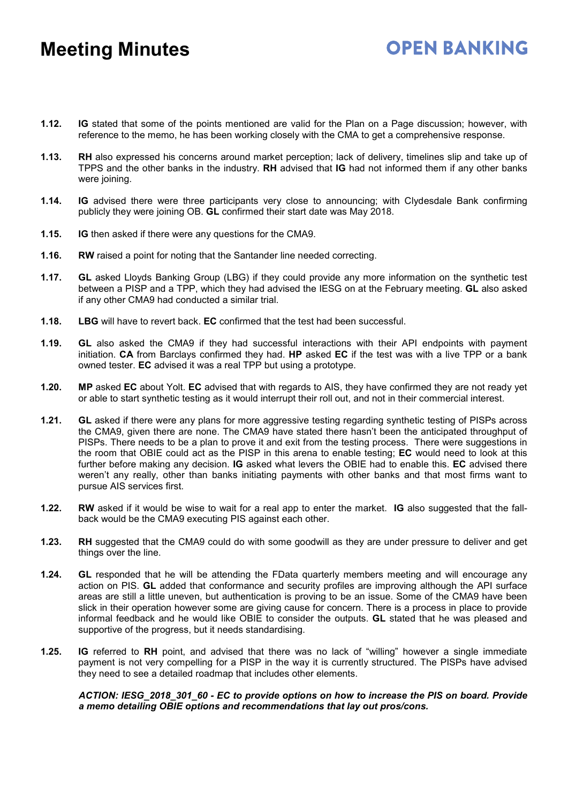**1.12. IG** stated that some of the points mentioned are valid for the Plan on a Page discussion; however, with reference to the memo, he has been working closely with the CMA to get a comprehensive response.

**OPEN BANKING** 

- **1.13. RH** also expressed his concerns around market perception; lack of delivery, timelines slip and take up of TPPS and the other banks in the industry. **RH** advised that **IG** had not informed them if any other banks were joining.
- **1.14. IG** advised there were three participants very close to announcing; with Clydesdale Bank confirming publicly they were joining OB. **GL** confirmed their start date was May 2018.
- **1.15. IG** then asked if there were any questions for the CMA9.
- **1.16. RW** raised a point for noting that the Santander line needed correcting.
- **1.17. GL** asked Lloyds Banking Group (LBG) if they could provide any more information on the synthetic test between a PISP and a TPP, which they had advised the IESG on at the February meeting. **GL** also asked if any other CMA9 had conducted a similar trial.
- **1.18. LBG** will have to revert back. **EC** confirmed that the test had been successful.
- **1.19. GL** also asked the CMA9 if they had successful interactions with their API endpoints with payment initiation. **CA** from Barclays confirmed they had. **HP** asked **EC** if the test was with a live TPP or a bank owned tester. **EC** advised it was a real TPP but using a prototype.
- **1.20. MP** asked **EC** about Yolt. **EC** advised that with regards to AIS, they have confirmed they are not ready yet or able to start synthetic testing as it would interrupt their roll out, and not in their commercial interest.
- **1.21. GL** asked if there were any plans for more aggressive testing regarding synthetic testing of PISPs across the CMA9, given there are none. The CMA9 have stated there hasn't been the anticipated throughput of PISPs. There needs to be a plan to prove it and exit from the testing process. There were suggestions in the room that OBIE could act as the PISP in this arena to enable testing; **EC** would need to look at this further before making any decision. **IG** asked what levers the OBIE had to enable this. **EC** advised there weren't any really, other than banks initiating payments with other banks and that most firms want to pursue AIS services first.
- **1.22. RW** asked if it would be wise to wait for a real app to enter the market. **IG** also suggested that the fallback would be the CMA9 executing PIS against each other.
- **1.23. RH** suggested that the CMA9 could do with some goodwill as they are under pressure to deliver and get things over the line.
- **1.24. GL** responded that he will be attending the FData quarterly members meeting and will encourage any action on PIS. **GL** added that conformance and security profiles are improving although the API surface areas are still a little uneven, but authentication is proving to be an issue. Some of the CMA9 have been slick in their operation however some are giving cause for concern. There is a process in place to provide informal feedback and he would like OBIE to consider the outputs. **GL** stated that he was pleased and supportive of the progress, but it needs standardising.
- **1.25. IG** referred to **RH** point, and advised that there was no lack of "willing" however a single immediate payment is not very compelling for a PISP in the way it is currently structured. The PISPs have advised they need to see a detailed roadmap that includes other elements.

#### *ACTION: IESG\_2018\_301\_60 - EC to provide options on how to increase the PIS on board. Provide a memo detailing OBIE options and recommendations that lay out pros/cons.*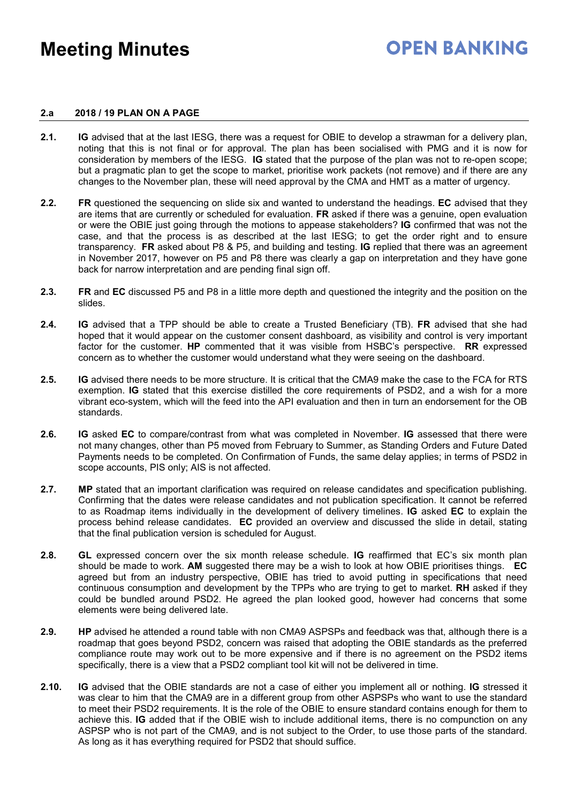## **OPEN BANKING**

#### **2.a 2018 / 19 PLAN ON A PAGE**

- **2.1. IG** advised that at the last IESG, there was a request for OBIE to develop a strawman for a delivery plan, noting that this is not final or for approval. The plan has been socialised with PMG and it is now for consideration by members of the IESG. **IG** stated that the purpose of the plan was not to re-open scope; but a pragmatic plan to get the scope to market, prioritise work packets (not remove) and if there are any changes to the November plan, these will need approval by the CMA and HMT as a matter of urgency.
- **2.2. FR** questioned the sequencing on slide six and wanted to understand the headings. **EC** advised that they are items that are currently or scheduled for evaluation. **FR** asked if there was a genuine, open evaluation or were the OBIE just going through the motions to appease stakeholders? **IG** confirmed that was not the case, and that the process is as described at the last IESG; to get the order right and to ensure transparency. **FR** asked about P8 & P5, and building and testing. **IG** replied that there was an agreement in November 2017, however on P5 and P8 there was clearly a gap on interpretation and they have gone back for narrow interpretation and are pending final sign off.
- **2.3. FR** and **EC** discussed P5 and P8 in a little more depth and questioned the integrity and the position on the slides.
- **2.4. IG** advised that a TPP should be able to create a Trusted Beneficiary (TB). **FR** advised that she had hoped that it would appear on the customer consent dashboard, as visibility and control is very important factor for the customer. **HP** commented that it was visible from HSBC's perspective. **RR** expressed concern as to whether the customer would understand what they were seeing on the dashboard.
- **2.5. IG** advised there needs to be more structure. It is critical that the CMA9 make the case to the FCA for RTS exemption. **IG** stated that this exercise distilled the core requirements of PSD2, and a wish for a more vibrant eco-system, which will the feed into the API evaluation and then in turn an endorsement for the OB standards.
- **2.6. IG** asked **EC** to compare/contrast from what was completed in November. **IG** assessed that there were not many changes, other than P5 moved from February to Summer, as Standing Orders and Future Dated Payments needs to be completed. On Confirmation of Funds, the same delay applies; in terms of PSD2 in scope accounts, PIS only; AIS is not affected.
- **2.7. MP** stated that an important clarification was required on release candidates and specification publishing. Confirming that the dates were release candidates and not publication specification. It cannot be referred to as Roadmap items individually in the development of delivery timelines. **IG** asked **EC** to explain the process behind release candidates. **EC** provided an overview and discussed the slide in detail, stating that the final publication version is scheduled for August.
- **2.8. GL** expressed concern over the six month release schedule. **IG** reaffirmed that EC's six month plan should be made to work. **AM** suggested there may be a wish to look at how OBIE prioritises things. **EC** agreed but from an industry perspective, OBIE has tried to avoid putting in specifications that need continuous consumption and development by the TPPs who are trying to get to market. **RH** asked if they could be bundled around PSD2. He agreed the plan looked good, however had concerns that some elements were being delivered late.
- **2.9. HP** advised he attended a round table with non CMA9 ASPSPs and feedback was that, although there is a roadmap that goes beyond PSD2, concern was raised that adopting the OBIE standards as the preferred compliance route may work out to be more expensive and if there is no agreement on the PSD2 items specifically, there is a view that a PSD2 compliant tool kit will not be delivered in time.
- **2.10. IG** advised that the OBIE standards are not a case of either you implement all or nothing. **IG** stressed it was clear to him that the CMA9 are in a different group from other ASPSPs who want to use the standard to meet their PSD2 requirements. It is the role of the OBIE to ensure standard contains enough for them to achieve this. **IG** added that if the OBIE wish to include additional items, there is no compunction on any ASPSP who is not part of the CMA9, and is not subject to the Order, to use those parts of the standard. As long as it has everything required for PSD2 that should suffice.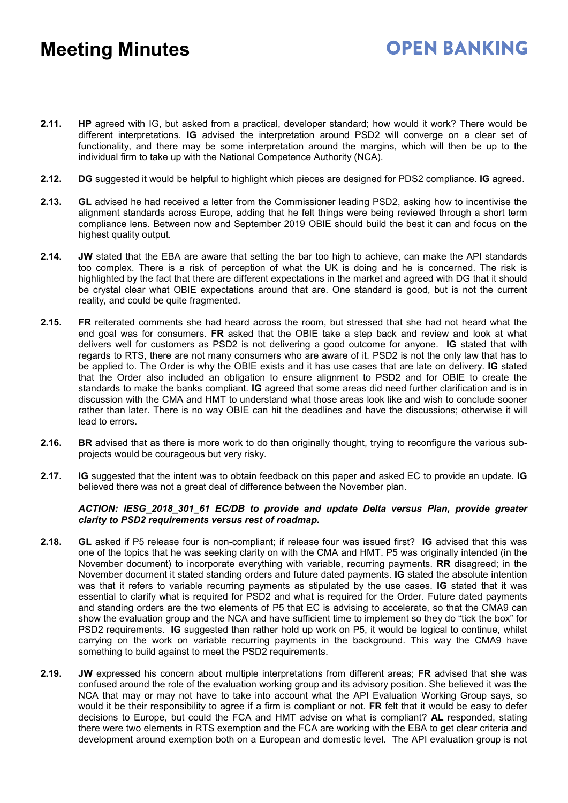## **OPEN BANKING**

- **2.11. HP** agreed with IG, but asked from a practical, developer standard; how would it work? There would be different interpretations. **IG** advised the interpretation around PSD2 will converge on a clear set of functionality, and there may be some interpretation around the margins, which will then be up to the individual firm to take up with the National Competence Authority (NCA).
- **2.12. DG** suggested it would be helpful to highlight which pieces are designed for PDS2 compliance. **IG** agreed.
- **2.13. GL** advised he had received a letter from the Commissioner leading PSD2, asking how to incentivise the alignment standards across Europe, adding that he felt things were being reviewed through a short term compliance lens. Between now and September 2019 OBIE should build the best it can and focus on the highest quality output.
- **2.14. JW** stated that the EBA are aware that setting the bar too high to achieve, can make the API standards too complex. There is a risk of perception of what the UK is doing and he is concerned. The risk is highlighted by the fact that there are different expectations in the market and agreed with DG that it should be crystal clear what OBIE expectations around that are. One standard is good, but is not the current reality, and could be quite fragmented.
- **2.15. FR** reiterated comments she had heard across the room, but stressed that she had not heard what the end goal was for consumers. **FR** asked that the OBIE take a step back and review and look at what delivers well for customers as PSD2 is not delivering a good outcome for anyone. **IG** stated that with regards to RTS, there are not many consumers who are aware of it. PSD2 is not the only law that has to be applied to. The Order is why the OBIE exists and it has use cases that are late on delivery. **IG** stated that the Order also included an obligation to ensure alignment to PSD2 and for OBIE to create the standards to make the banks compliant. **IG** agreed that some areas did need further clarification and is in discussion with the CMA and HMT to understand what those areas look like and wish to conclude sooner rather than later. There is no way OBIE can hit the deadlines and have the discussions; otherwise it will lead to errors.
- **2.16. BR** advised that as there is more work to do than originally thought, trying to reconfigure the various subprojects would be courageous but very risky.
- **2.17. IG** suggested that the intent was to obtain feedback on this paper and asked EC to provide an update. **IG** believed there was not a great deal of difference between the November plan.

#### *ACTION: IESG\_2018\_301\_61 EC/DB to provide and update Delta versus Plan, provide greater clarity to PSD2 requirements versus rest of roadmap.*

- **2.18. GL** asked if P5 release four is non-compliant; if release four was issued first? **IG** advised that this was one of the topics that he was seeking clarity on with the CMA and HMT. P5 was originally intended (in the November document) to incorporate everything with variable, recurring payments. **RR** disagreed; in the November document it stated standing orders and future dated payments. **IG** stated the absolute intention was that it refers to variable recurring payments as stipulated by the use cases. **IG** stated that it was essential to clarify what is required for PSD2 and what is required for the Order. Future dated payments and standing orders are the two elements of P5 that EC is advising to accelerate, so that the CMA9 can show the evaluation group and the NCA and have sufficient time to implement so they do "tick the box" for PSD2 requirements. **IG** suggested than rather hold up work on P5, it would be logical to continue, whilst carrying on the work on variable recurring payments in the background. This way the CMA9 have something to build against to meet the PSD2 requirements.
- **2.19. JW** expressed his concern about multiple interpretations from different areas; **FR** advised that she was confused around the role of the evaluation working group and its advisory position. She believed it was the NCA that may or may not have to take into account what the API Evaluation Working Group says, so would it be their responsibility to agree if a firm is compliant or not. **FR** felt that it would be easy to defer decisions to Europe, but could the FCA and HMT advise on what is compliant? **AL** responded, stating there were two elements in RTS exemption and the FCA are working with the EBA to get clear criteria and development around exemption both on a European and domestic level. The API evaluation group is not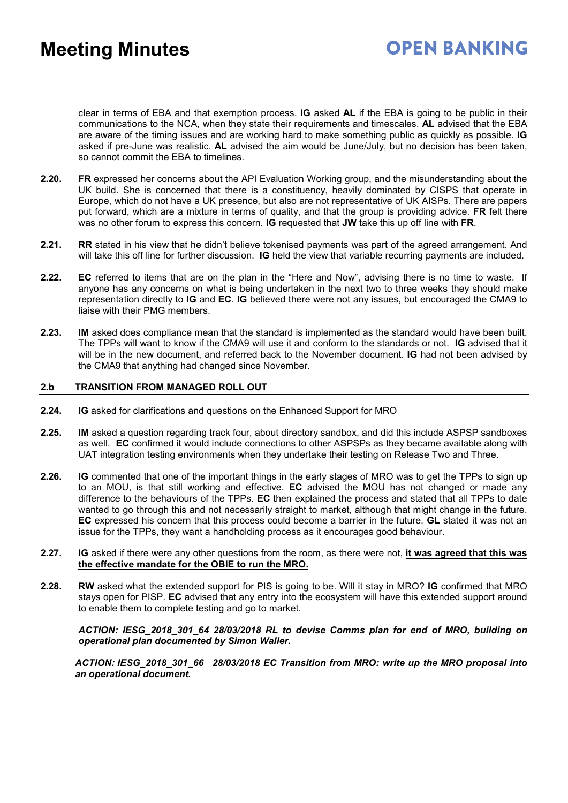## **OPEN BANKING**

clear in terms of EBA and that exemption process. **IG** asked **AL** if the EBA is going to be public in their communications to the NCA, when they state their requirements and timescales. **AL** advised that the EBA are aware of the timing issues and are working hard to make something public as quickly as possible. **IG** asked if pre-June was realistic. **AL** advised the aim would be June/July, but no decision has been taken, so cannot commit the EBA to timelines.

- **2.20. FR** expressed her concerns about the API Evaluation Working group, and the misunderstanding about the UK build. She is concerned that there is a constituency, heavily dominated by CISPS that operate in Europe, which do not have a UK presence, but also are not representative of UK AISPs. There are papers put forward, which are a mixture in terms of quality, and that the group is providing advice. **FR** felt there was no other forum to express this concern. **IG** requested that **JW** take this up off line with **FR**.
- **2.21. RR** stated in his view that he didn't believe tokenised payments was part of the agreed arrangement. And will take this off line for further discussion. **IG** held the view that variable recurring payments are included.
- **2.22. EC** referred to items that are on the plan in the "Here and Now", advising there is no time to waste. If anyone has any concerns on what is being undertaken in the next two to three weeks they should make representation directly to **IG** and **EC**. **IG** believed there were not any issues, but encouraged the CMA9 to liaise with their PMG members.
- **2.23. IM** asked does compliance mean that the standard is implemented as the standard would have been built. The TPPs will want to know if the CMA9 will use it and conform to the standards or not. **IG** advised that it will be in the new document, and referred back to the November document. **IG** had not been advised by the CMA9 that anything had changed since November.

#### **2.b TRANSITION FROM MANAGED ROLL OUT**

- **2.24. IG** asked for clarifications and questions on the Enhanced Support for MRO
- **2.25. IM** asked a question regarding track four, about directory sandbox, and did this include ASPSP sandboxes as well. **EC** confirmed it would include connections to other ASPSPs as they became available along with UAT integration testing environments when they undertake their testing on Release Two and Three.
- **2.26. IG** commented that one of the important things in the early stages of MRO was to get the TPPs to sign up to an MOU, is that still working and effective. **EC** advised the MOU has not changed or made any difference to the behaviours of the TPPs. **EC** then explained the process and stated that all TPPs to date wanted to go through this and not necessarily straight to market, although that might change in the future. **EC** expressed his concern that this process could become a barrier in the future. **GL** stated it was not an issue for the TPPs, they want a handholding process as it encourages good behaviour.
- **2.27. IG** asked if there were any other questions from the room, as there were not, **it was agreed that this was the effective mandate for the OBIE to run the MRO.**
- **2.28. RW** asked what the extended support for PIS is going to be. Will it stay in MRO? **IG** confirmed that MRO stays open for PISP. **EC** advised that any entry into the ecosystem will have this extended support around to enable them to complete testing and go to market.

#### *ACTION: IESG\_2018\_301\_64 28/03/2018 RL to devise Comms plan for end of MRO, building on operational plan documented by Simon Waller.*

*ACTION: IESG\_2018\_301\_66 28/03/2018 EC Transition from MRO: write up the MRO proposal into an operational document.*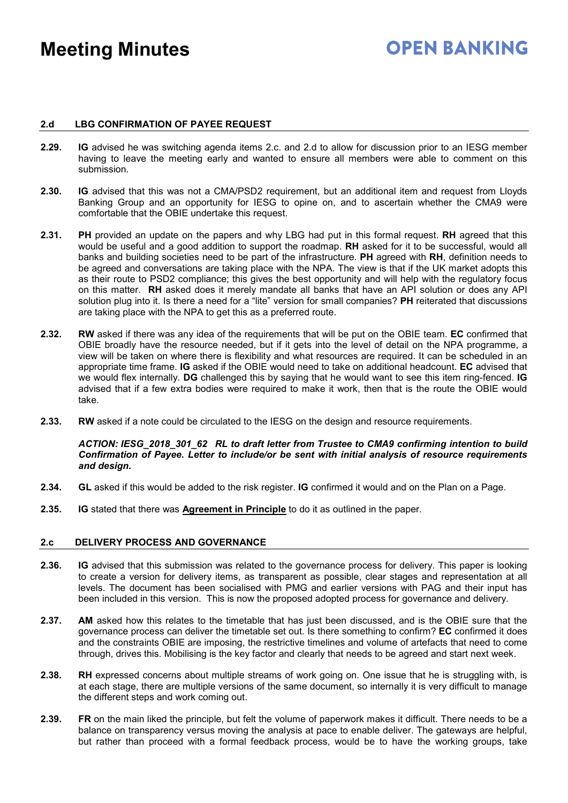## **OPEN BANKING**

#### **2.d LBG CONFIRMATION OF PAYEE REQUEST**

- **2.29. IG** advised he was switching agenda items 2.c. and 2.d to allow for discussion prior to an IESG member having to leave the meeting early and wanted to ensure all members were able to comment on this submission.
- **2.30. IG** advised that this was not a CMA/PSD2 requirement, but an additional item and request from Lloyds Banking Group and an opportunity for IESG to opine on, and to ascertain whether the CMA9 were comfortable that the OBIE undertake this request.
- **2.31. PH** provided an update on the papers and why LBG had put in this formal request. **RH** agreed that this would be useful and a good addition to support the roadmap. **RH** asked for it to be successful, would all banks and building societies need to be part of the infrastructure. **PH** agreed with **RH**, definition needs to be agreed and conversations are taking place with the NPA. The view is that if the UK market adopts this as their route to PSD2 compliance; this gives the best opportunity and will help with the regulatory focus on this matter. **RH** asked does it merely mandate all banks that have an API solution or does any API solution plug into it. Is there a need for a "lite" version for small companies? **PH** reiterated that discussions are taking place with the NPA to get this as a preferred route.
- **2.32. RW** asked if there was any idea of the requirements that will be put on the OBIE team. **EC** confirmed that OBIE broadly have the resource needed, but if it gets into the level of detail on the NPA programme, a view will be taken on where there is flexibility and what resources are required. It can be scheduled in an appropriate time frame. **IG** asked if the OBIE would need to take on additional headcount. **EC** advised that we would flex internally. **DG** challenged this by saying that he would want to see this item ring-fenced. **IG** advised that if a few extra bodies were required to make it work, then that is the route the OBIE would take.
- **2.33. RW** asked if a note could be circulated to the IESG on the design and resource requirements.

#### *ACTION: IESG\_2018\_301\_62 RL to draft letter from Trustee to CMA9 confirming intention to build Confirmation of Payee. Letter to include/or be sent with initial analysis of resource requirements and design.*

- **2.34. GL** asked if this would be added to the risk register. **IG** confirmed it would and on the Plan on a Page.
- **2.35. IG** stated that there was **Agreement in Principle** to do it as outlined in the paper.

#### **2.c DELIVERY PROCESS AND GOVERNANCE**

- **2.36. IG** advised that this submission was related to the governance process for delivery. This paper is looking to create a version for delivery items, as transparent as possible, clear stages and representation at all levels. The document has been socialised with PMG and earlier versions with PAG and their input has been included in this version. This is now the proposed adopted process for governance and delivery.
- **2.37. AM** asked how this relates to the timetable that has just been discussed, and is the OBIE sure that the governance process can deliver the timetable set out. Is there something to confirm? **EC** confirmed it does and the constraints OBIE are imposing, the restrictive timelines and volume of artefacts that need to come through, drives this. Mobilising is the key factor and clearly that needs to be agreed and start next week.
- **2.38. RH** expressed concerns about multiple streams of work going on. One issue that he is struggling with, is at each stage, there are multiple versions of the same document, so internally it is very difficult to manage the different steps and work coming out.
- **2.39. FR** on the main liked the principle, but felt the volume of paperwork makes it difficult. There needs to be a balance on transparency versus moving the analysis at pace to enable deliver. The gateways are helpful, but rather than proceed with a formal feedback process, would be to have the working groups, take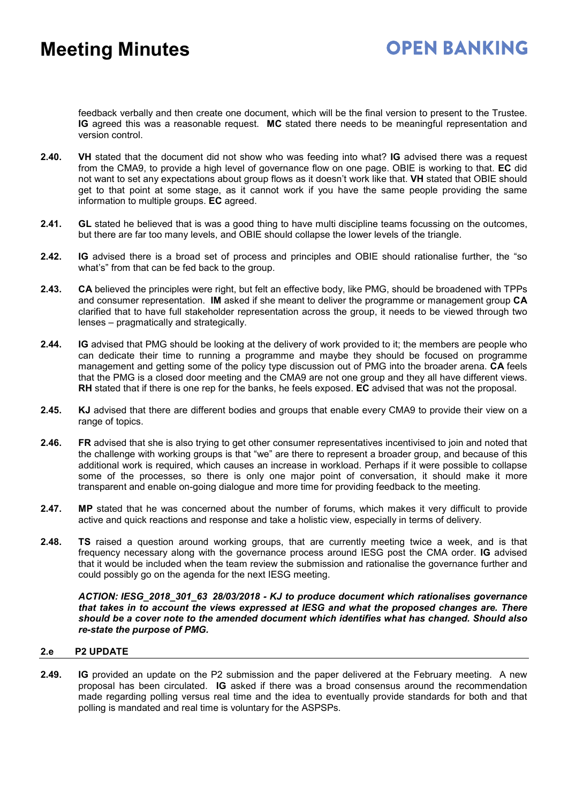feedback verbally and then create one document, which will be the final version to present to the Trustee. **IG** agreed this was a reasonable request. **MC** stated there needs to be meaningful representation and version control.

- **2.40. VH** stated that the document did not show who was feeding into what? **IG** advised there was a request from the CMA9, to provide a high level of governance flow on one page. OBIE is working to that. **EC** did not want to set any expectations about group flows as it doesn't work like that. **VH** stated that OBIE should get to that point at some stage, as it cannot work if you have the same people providing the same information to multiple groups. **EC** agreed.
- **2.41. GL** stated he believed that is was a good thing to have multi discipline teams focussing on the outcomes, but there are far too many levels, and OBIE should collapse the lower levels of the triangle.
- **2.42. IG** advised there is a broad set of process and principles and OBIE should rationalise further, the "so what's" from that can be fed back to the group.
- **2.43. CA** believed the principles were right, but felt an effective body, like PMG, should be broadened with TPPs and consumer representation. **IM** asked if she meant to deliver the programme or management group **CA** clarified that to have full stakeholder representation across the group, it needs to be viewed through two lenses – pragmatically and strategically.
- **2.44. IG** advised that PMG should be looking at the delivery of work provided to it; the members are people who can dedicate their time to running a programme and maybe they should be focused on programme management and getting some of the policy type discussion out of PMG into the broader arena. **CA** feels that the PMG is a closed door meeting and the CMA9 are not one group and they all have different views. **RH** stated that if there is one rep for the banks, he feels exposed. **EC** advised that was not the proposal.
- **2.45. KJ** advised that there are different bodies and groups that enable every CMA9 to provide their view on a range of topics.
- **2.46. FR** advised that she is also trying to get other consumer representatives incentivised to join and noted that the challenge with working groups is that "we" are there to represent a broader group, and because of this additional work is required, which causes an increase in workload. Perhaps if it were possible to collapse some of the processes, so there is only one major point of conversation, it should make it more transparent and enable on-going dialogue and more time for providing feedback to the meeting.
- **2.47. MP** stated that he was concerned about the number of forums, which makes it very difficult to provide active and quick reactions and response and take a holistic view, especially in terms of delivery.
- **2.48. TS** raised a question around working groups, that are currently meeting twice a week, and is that frequency necessary along with the governance process around IESG post the CMA order. **IG** advised that it would be included when the team review the submission and rationalise the governance further and could possibly go on the agenda for the next IESG meeting.

*ACTION: IESG\_2018\_301\_63 28/03/2018 - KJ to produce document which rationalises governance that takes in to account the views expressed at IESG and what the proposed changes are. There should be a cover note to the amended document which identifies what has changed. Should also re-state the purpose of PMG.*

### **2.e P2 UPDATE**

**2.49. IG** provided an update on the P2 submission and the paper delivered at the February meeting. A new proposal has been circulated. **IG** asked if there was a broad consensus around the recommendation made regarding polling versus real time and the idea to eventually provide standards for both and that polling is mandated and real time is voluntary for the ASPSPs.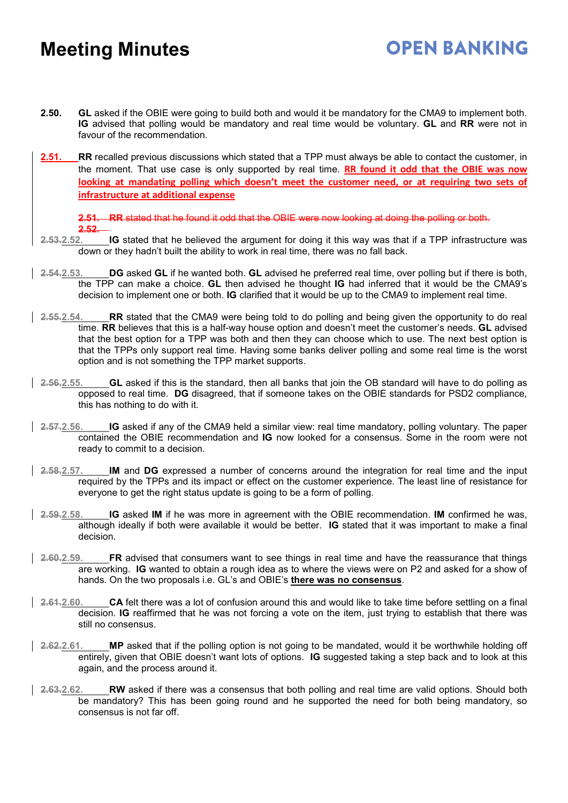**2.50. GL** asked if the OBIE were going to build both and would it be mandatory for the CMA9 to implement both. **IG** advised that polling would be mandatory and real time would be voluntary. **GL** and **RR** were not in favour of the recommendation.

**OPEN BANKING** 

**2.51. RR** recalled previous discussions which stated that a TPP must always be able to contact the customer, in the moment. That use case is only supported by real time. **RR found it odd that the OBIE was now looking at mandating polling which doesn't meet the customer need, or at requiring two sets of infrastructure at additional expense**

**2.51. RR** stated that he found it odd that the OBIE were now looking at doing the polling or both. **2.52.**

- **2.53.2.52. IG** stated that he believed the argument for doing it this way was that if a TPP infrastructure was down or they hadn't built the ability to work in real time, there was no fall back.
- **2.54.2.53. DG** asked **GL** if he wanted both. **GL** advised he preferred real time, over polling but if there is both, the TPP can make a choice. **GL** then advised he thought **IG** had inferred that it would be the CMA9's decision to implement one or both. **IG** clarified that it would be up to the CMA9 to implement real time.
- **2.55.2.54. RR** stated that the CMA9 were being told to do polling and being given the opportunity to do real time. **RR** believes that this is a half-way house option and doesn't meet the customer's needs. **GL** advised that the best option for a TPP was both and then they can choose which to use. The next best option is that the TPPs only support real time. Having some banks deliver polling and some real time is the worst option and is not something the TPP market supports.
- **2.56.2.55. GL** asked if this is the standard, then all banks that join the OB standard will have to do polling as opposed to real time. **DG** disagreed, that if someone takes on the OBIE standards for PSD2 compliance, this has nothing to do with it.
- **2.57.2.56. IG** asked if any of the CMA9 held a similar view: real time mandatory, polling voluntary. The paper contained the OBIE recommendation and **IG** now looked for a consensus. Some in the room were not ready to commit to a decision.
- **2.58.2.57. IM** and **DG** expressed a number of concerns around the integration for real time and the input required by the TPPs and its impact or effect on the customer experience. The least line of resistance for everyone to get the right status update is going to be a form of polling.
- **2.59.2.58. IG** asked **IM** if he was more in agreement with the OBIE recommendation. **IM** confirmed he was, although ideally if both were available it would be better. **IG** stated that it was important to make a final decision.
- **2.60.2.59. FR** advised that consumers want to see things in real time and have the reassurance that things are working. **IG** wanted to obtain a rough idea as to where the views were on P2 and asked for a show of hands. On the two proposals i.e. GL's and OBIE's **there was no consensus**.
- **2.61.2.60. CA** felt there was a lot of confusion around this and would like to take time before settling on a final decision. **IG** reaffirmed that he was not forcing a vote on the item, just trying to establish that there was still no consensus.
- **2.62.2.61. MP** asked that if the polling option is not going to be mandated, would it be worthwhile holding off entirely, given that OBIE doesn't want lots of options. **IG** suggested taking a step back and to look at this again, and the process around it.
- **2.63.2.62. RW** asked if there was a consensus that both polling and real time are valid options. Should both be mandatory? This has been going round and he supported the need for both being mandatory, so consensus is not far off.